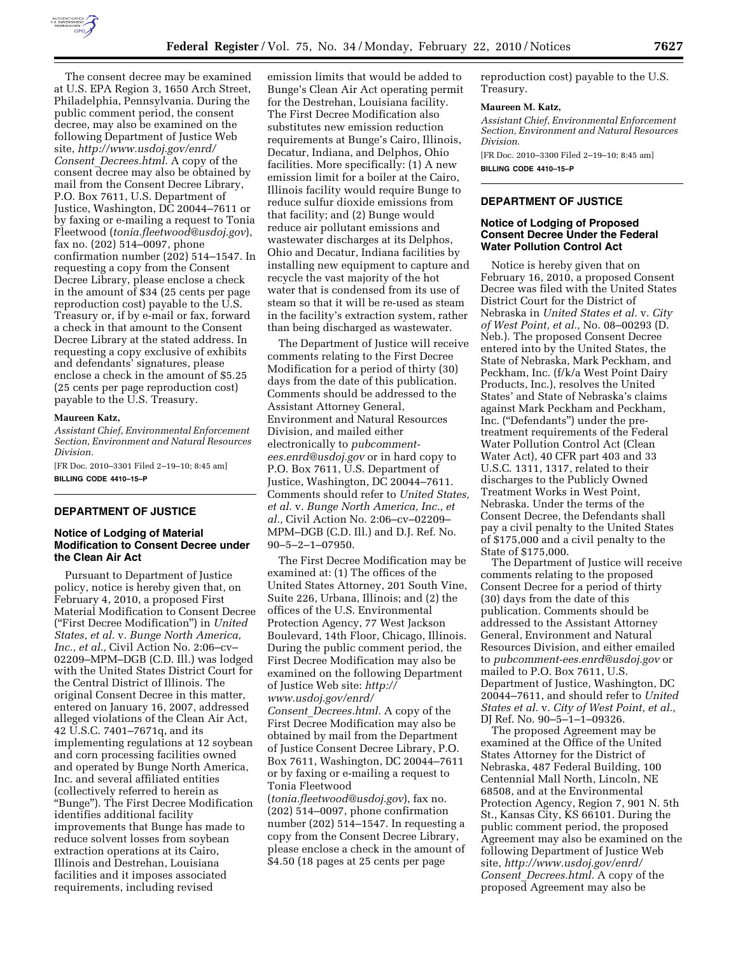

The consent decree may be examined at U.S. EPA Region 3, 1650 Arch Street, Philadelphia, Pennsylvania. During the public comment period, the consent decree, may also be examined on the following Department of Justice Web site, *http://www.usdoj.gov/enrd/ Consent*\_*Decrees.html.* A copy of the consent decree may also be obtained by mail from the Consent Decree Library, P.O. Box 7611, U.S. Department of Justice, Washington, DC 20044–7611 or by faxing or e-mailing a request to Tonia Fleetwood (*tonia.fleetwood@usdoj.gov*), fax no. (202) 514–0097, phone confirmation number (202) 514–1547. In requesting a copy from the Consent Decree Library, please enclose a check in the amount of \$34 (25 cents per page reproduction cost) payable to the U.S. Treasury or, if by e-mail or fax, forward a check in that amount to the Consent Decree Library at the stated address. In requesting a copy exclusive of exhibits and defendants' signatures, please enclose a check in the amount of \$5.25 (25 cents per page reproduction cost) payable to the U.S. Treasury.

#### **Maureen Katz,**

*Assistant Chief, Environmental Enforcement Section, Environment and Natural Resources Division.* 

[FR Doc. 2010–3301 Filed 2–19–10; 8:45 am] **BILLING CODE 4410–15–P** 

### **DEPARTMENT OF JUSTICE**

#### **Notice of Lodging of Material Modification to Consent Decree under the Clean Air Act**

Pursuant to Department of Justice policy, notice is hereby given that, on February 4, 2010, a proposed First Material Modification to Consent Decree (''First Decree Modification'') in *United States, et al.* v. *Bunge North America, Inc., et al.,* Civil Action No. 2:06–cv– 02209–MPM–DGB (C.D. Ill.) was lodged with the United States District Court for the Central District of Illinois. The original Consent Decree in this matter, entered on January 16, 2007, addressed alleged violations of the Clean Air Act, 42 U.S.C. 7401–7671q, and its implementing regulations at 12 soybean and corn processing facilities owned and operated by Bunge North America, Inc. and several affiliated entities (collectively referred to herein as ''Bunge''). The First Decree Modification identifies additional facility improvements that Bunge has made to reduce solvent losses from soybean extraction operations at its Cairo, Illinois and Destrehan, Louisiana facilities and it imposes associated requirements, including revised

emission limits that would be added to Bunge's Clean Air Act operating permit for the Destrehan, Louisiana facility. The First Decree Modification also substitutes new emission reduction requirements at Bunge's Cairo, Illinois, Decatur, Indiana, and Delphos, Ohio facilities. More specifically: (1) A new emission limit for a boiler at the Cairo, Illinois facility would require Bunge to reduce sulfur dioxide emissions from that facility; and (2) Bunge would reduce air pollutant emissions and wastewater discharges at its Delphos, Ohio and Decatur, Indiana facilities by installing new equipment to capture and recycle the vast majority of the hot water that is condensed from its use of steam so that it will be re-used as steam in the facility's extraction system, rather than being discharged as wastewater.

The Department of Justice will receive comments relating to the First Decree Modification for a period of thirty (30) days from the date of this publication. Comments should be addressed to the Assistant Attorney General, Environment and Natural Resources Division, and mailed either electronically to *pubcommentees.enrd@usdoj.gov* or in hard copy to P.O. Box 7611, U.S. Department of Justice, Washington, DC 20044–7611. Comments should refer to *United States, et al.* v. *Bunge North America, Inc., et al.,* Civil Action No. 2:06–cv–02209– MPM–DGB (C.D. Ill.) and D.J. Ref. No. 90–5–2–1–07950.

The First Decree Modification may be examined at: (1) The offices of the United States Attorney, 201 South Vine, Suite 226, Urbana, Illinois; and (2) the offices of the U.S. Environmental Protection Agency, 77 West Jackson Boulevard, 14th Floor, Chicago, Illinois. During the public comment period, the First Decree Modification may also be examined on the following Department of Justice Web site: *http:// www.usdoj.gov/enrd/ Consent*\_*Decrees.html.* A copy of the First Decree Modification may also be obtained by mail from the Department of Justice Consent Decree Library, P.O. Box 7611, Washington, DC 20044–7611 or by faxing or e-mailing a request to Tonia Fleetwood

(*tonia.fleetwood@usdoj.gov*), fax no. (202) 514–0097, phone confirmation number (202) 514–1547. In requesting a copy from the Consent Decree Library, please enclose a check in the amount of \$4.50 (18 pages at 25 cents per page

reproduction cost) payable to the U.S. Treasury.

#### **Maureen M. Katz,**

*Assistant Chief, Environmental Enforcement Section, Environment and Natural Resources Division.* 

[FR Doc. 2010–3300 Filed 2–19–10; 8:45 am] **BILLING CODE 4410–15–P** 

## **DEPARTMENT OF JUSTICE**

## **Notice of Lodging of Proposed Consent Decree Under the Federal Water Pollution Control Act**

Notice is hereby given that on February 16, 2010, a proposed Consent Decree was filed with the United States District Court for the District of Nebraska in *United States et al.* v. *City of West Point, et al.,* No. 08–00293 (D. Neb.). The proposed Consent Decree entered into by the United States, the State of Nebraska, Mark Peckham, and Peckham, Inc. (f/k/a West Point Dairy Products, Inc.), resolves the United States' and State of Nebraska's claims against Mark Peckham and Peckham, Inc. (''Defendants'') under the pretreatment requirements of the Federal Water Pollution Control Act (Clean Water Act), 40 CFR part 403 and 33 U.S.C. 1311, 1317, related to their discharges to the Publicly Owned Treatment Works in West Point, Nebraska. Under the terms of the Consent Decree, the Defendants shall pay a civil penalty to the United States of \$175,000 and a civil penalty to the State of \$175,000.

The Department of Justice will receive comments relating to the proposed Consent Decree for a period of thirty (30) days from the date of this publication. Comments should be addressed to the Assistant Attorney General, Environment and Natural Resources Division, and either emailed to *pubcomment-ees.enrd@usdoj.gov* or mailed to P.O. Box 7611, U.S. Department of Justice, Washington, DC 20044–7611, and should refer to *United States et al.* v. *City of West Point, et al.,*  DJ Ref. No. 90–5–1–1–09326.

The proposed Agreement may be examined at the Office of the United States Attorney for the District of Nebraska, 487 Federal Building, 100 Centennial Mall North, Lincoln, NE 68508, and at the Environmental Protection Agency, Region 7, 901 N. 5th St., Kansas City, KS 66101. During the public comment period, the proposed Agreement may also be examined on the following Department of Justice Web site, *http://www.usdoj.gov/enrd/ Consent*\_*Decrees.html.* A copy of the proposed Agreement may also be